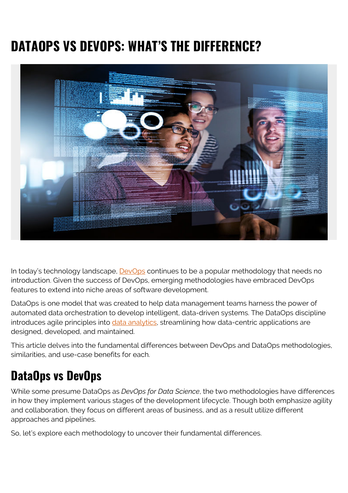# **DATAOPS VS DEVOPS: WHAT'S THE DIFFERENCE?**



In today's technology landscape, **DevOps** continues to be a popular methodology that needs no introduction. Given the success of DevOps, emerging methodologies have embraced DevOps features to extend into niche areas of software development.

DataOps is one model that was created to help data management teams harness the power of automated data orchestration to develop intelligent, data-driven systems. The DataOps discipline introduces agile principles into *[data analytics](https://blogs.bmc.com/blogs/data-analytics-vs-data-analysis)*, streamlining how data-centric applications are designed, developed, and maintained.

This article delves into the fundamental differences between DevOps and DataOps methodologies, similarities, and use-case benefits for each.

# **DataOps vs DevOps**

While some presume DataOps as *DevOps for Data Science*, the two methodologies have differences in how they implement various stages of the development lifecycle. Though both emphasize agility and collaboration, they focus on different areas of business, and as a result utilize different approaches and pipelines.

So, let's explore each methodology to uncover their fundamental differences.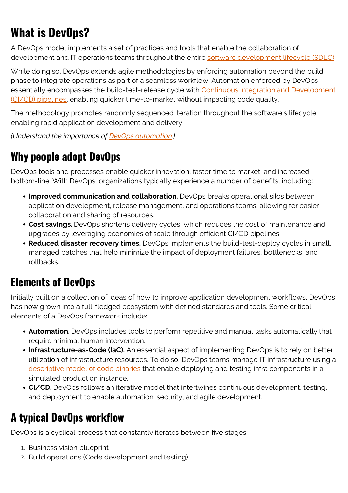# **What is DevOps?**

A DevOps model implements a set of practices and tools that enable the collaboration of development and IT operations teams throughout the entire [software development lifecycle \(SDLC\).](https://blogs.bmc.com/blogs/sdlc-software-development-lifecycle/)

While doing so, DevOps extends agile methodologies by enforcing automation beyond the build phase to integrate operations as part of a seamless workflow. Automation enforced by DevOps essentially encompasses the build-test-release cycle with [Continuous Integration and Development](https://blogs.bmc.com/blogs/ci-cd-pipeline-setup) [\(CI/CD\) pipelines,](https://blogs.bmc.com/blogs/ci-cd-pipeline-setup) enabling quicker time-to-market without impacting code quality.

The methodology promotes randomly sequenced iteration throughout the software's lifecycle, enabling rapid application development and delivery.

*(Understand the importance of [DevOps automation](https://blogs.bmc.com/blogs/automation-in-devops/).)*

#### **Why people adopt DevOps**

DevOps tools and processes enable quicker innovation, faster time to market, and increased bottom-line. With DevOps, organizations typically experience a number of benefits, including:

- **Improved communication and collaboration.** DevOps breaks operational silos between application development, release management, and operations teams, allowing for easier collaboration and sharing of resources.
- **Cost savings.** DevOps shortens delivery cycles, which reduces the cost of maintenance and upgrades by leveraging economies of scale through efficient CI/CD pipelines.
- **Reduced disaster recovery times.** DevOps implements the build-test-deploy cycles in small, managed batches that help minimize the impact of deployment failures, bottlenecks, and rollbacks.

#### **Elements of DevOps**

Initially built on a collection of ideas of how to improve application development workflows, DevOps has now grown into a full-fledged ecosystem with defined standards and tools. Some critical elements of a DevOps framework include:

- **Automation.** DevOps includes tools to perform repetitive and manual tasks automatically that require minimal human intervention.
- **Infrastructure-as-Code (IaC).** An essential aspect of implementing DevOps is to rely on better utilization of infrastructure resources. To do so, DevOps teams manage IT infrastructure using a [descriptive model of code binaries](https://blogs.bmc.com/blogs/infrastructure-as-code/) that enable deploying and testing infra components in a simulated production instance.
- **CI/CD.** DevOps follows an iterative model that intertwines continuous development, testing, and deployment to enable automation, security, and agile development.

## **A typical DevOps workflow**

DevOps is a cyclical process that constantly iterates between five stages:

- 1. Business vision blueprint
- 2. Build operations (Code development and testing)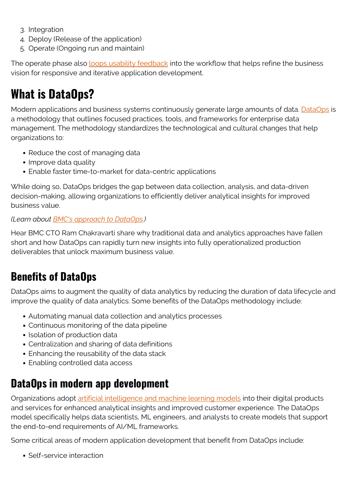- 3. Integration
- 4. Deploy (Release of the application)
- 5. Operate (Ongoing run and maintain)

The operate phase also [loops usability feedback](https://blogs.bmc.com/blogs/devops-feedback-loops/) into the workflow that helps refine the business vision for responsive and iterative application development.

# **What is DataOps?**

Modern applications and business systems continuously generate large amounts of data. [DataOps](https://blogs.bmc.com/learn/what-is-dataops.html) is a methodology that outlines focused practices, tools, and frameworks for enterprise data management. The methodology standardizes the technological and cultural changes that help organizations to:

- Reduce the cost of managing data
- Improve data quality
- Enable faster time-to-market for data-centric applications

While doing so, DataOps bridges the gap between data collection, analysis, and data-driven decision-making, allowing organizations to efficiently deliver analytical insights for improved business value.

#### *(Learn about [BMC's approach to DataOps.](https://blogs.bmc.com/learn/what-is-dataops.html))*

Hear BMC CTO Ram Chakravarti share why traditional data and analytics approaches have fallen short and how DataOps can rapidly turn new insights into fully operationalized production deliverables that unlock maximum business value.

#### **Benefits of DataOps**

DataOps aims to augment the quality of data analytics by reducing the duration of data lifecycle and improve the quality of data analytics. Some benefits of the DataOps methodology include:

- Automating manual data collection and analytics processes
- Continuous monitoring of the data pipeline
- Isolation of production data
- Centralization and sharing of data definitions
- Enhancing the reusability of the data stack
- Enabling controlled data access

## **DataOps in modern app development**

Organizations adopt [artificial intelligence and machine learning models](https://blogs.bmc.com/blogs/artificial-intelligence-vs-machine-learning/) into their digital products and services for enhanced analytical insights and improved customer experience. The DataOps model specifically helps data scientists, ML engineers, and analysts to create models that support the end-to-end requirements of AI/ML frameworks.

Some critical areas of modern application development that benefit from DataOps include:

• Self-service interaction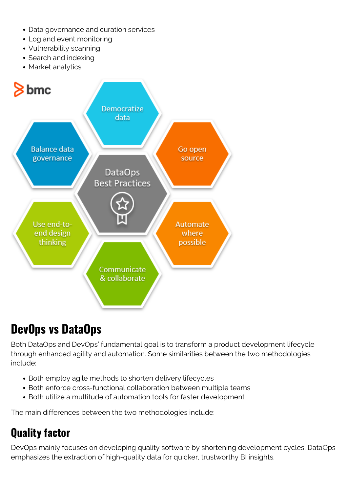- Data governance and curation services
- Log and event monitoring
- Vulnerability scanning
- Search and indexing
- Market analytics



# **DevOps vs DataOps**

Both DataOps and DevOps' fundamental goal is to transform a product development lifecycle through enhanced agility and automation. Some similarities between the two methodologies include:

- Both employ agile methods to shorten delivery lifecycles
- Both enforce cross-functional collaboration between multiple teams
- Both utilize a multitude of automation tools for faster development

The main differences between the two methodologies include:

### **Quality factor**

DevOps mainly focuses on developing quality software by shortening development cycles. DataOps emphasizes the extraction of high-quality data for quicker, trustworthy BI insights.